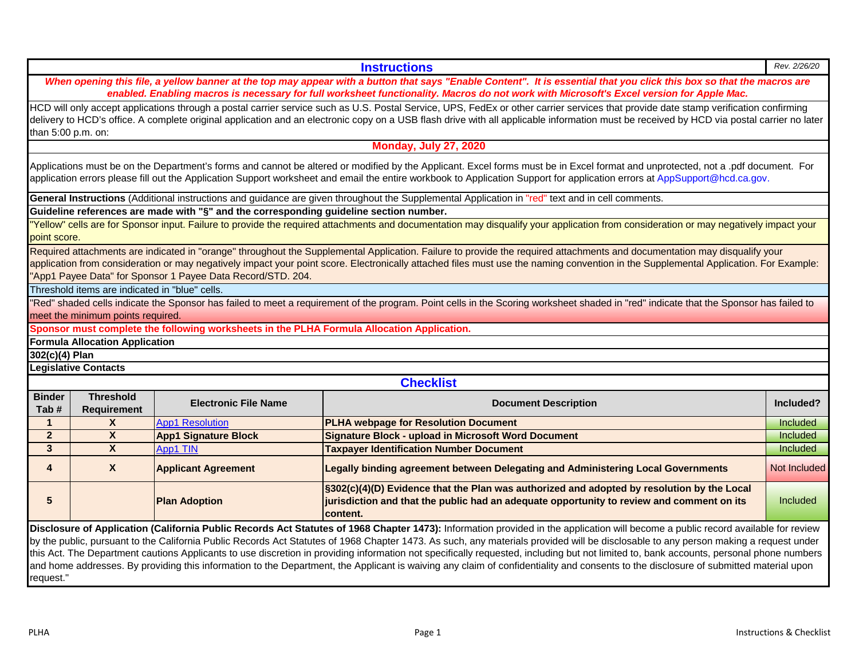|                       |                                                |                                                                                            | monday, July 21, 2020                                                                                                                                                                                                                                                                                                                                                                                                                                                                                                                                                |                 |  |  |  |  |
|-----------------------|------------------------------------------------|--------------------------------------------------------------------------------------------|----------------------------------------------------------------------------------------------------------------------------------------------------------------------------------------------------------------------------------------------------------------------------------------------------------------------------------------------------------------------------------------------------------------------------------------------------------------------------------------------------------------------------------------------------------------------|-----------------|--|--|--|--|
|                       |                                                |                                                                                            | Applications must be on the Department's forms and cannot be altered or modified by the Applicant. Excel forms must be in Excel format and unprotected, not a .pdf document. For<br>application errors please fill out the Application Support worksheet and email the entire workbook to Application Support for application errors at AppSupport@hcd.ca.gov.                                                                                                                                                                                                       |                 |  |  |  |  |
|                       |                                                |                                                                                            | General Instructions (Additional instructions and guidance are given throughout the Supplemental Application in "red" text and in cell comments.                                                                                                                                                                                                                                                                                                                                                                                                                     |                 |  |  |  |  |
|                       |                                                | Guideline references are made with "§" and the corresponding guideline section number.     |                                                                                                                                                                                                                                                                                                                                                                                                                                                                                                                                                                      |                 |  |  |  |  |
| point score.          |                                                |                                                                                            | Yellow" cells are for Sponsor input. Failure to provide the required attachments and documentation may disqualify your application from consideration or may negatively impact your                                                                                                                                                                                                                                                                                                                                                                                  |                 |  |  |  |  |
|                       |                                                | 'App1 Payee Data" for Sponsor 1 Payee Data Record/STD. 204.                                | Required attachments are indicated in "orange" throughout the Supplemental Application. Failure to provide the required attachments and documentation may disqualify your<br>application from consideration or may negatively impact your point score. Electronically attached files must use the naming convention in the Supplemental Application. For Example:                                                                                                                                                                                                    |                 |  |  |  |  |
|                       | Threshold items are indicated in "blue" cells. |                                                                                            |                                                                                                                                                                                                                                                                                                                                                                                                                                                                                                                                                                      |                 |  |  |  |  |
|                       | meet the minimum points required.              |                                                                                            | "Red" shaded cells indicate the Sponsor has failed to meet a requirement of the program. Point cells in the Scoring worksheet shaded in "red" indicate that the Sponsor has failed to                                                                                                                                                                                                                                                                                                                                                                                |                 |  |  |  |  |
|                       |                                                | Sponsor must complete the following worksheets in the PLHA Formula Allocation Application. |                                                                                                                                                                                                                                                                                                                                                                                                                                                                                                                                                                      |                 |  |  |  |  |
|                       | <b>Formula Allocation Application</b>          |                                                                                            |                                                                                                                                                                                                                                                                                                                                                                                                                                                                                                                                                                      |                 |  |  |  |  |
| 302(c)(4) Plan        |                                                |                                                                                            |                                                                                                                                                                                                                                                                                                                                                                                                                                                                                                                                                                      |                 |  |  |  |  |
|                       | <b>Legislative Contacts</b>                    |                                                                                            |                                                                                                                                                                                                                                                                                                                                                                                                                                                                                                                                                                      |                 |  |  |  |  |
|                       |                                                |                                                                                            | <b>Checklist</b>                                                                                                                                                                                                                                                                                                                                                                                                                                                                                                                                                     |                 |  |  |  |  |
| <b>Binder</b><br>Tab# | <b>Threshold</b><br><b>Requirement</b>         | <b>Electronic File Name</b>                                                                | <b>Document Description</b>                                                                                                                                                                                                                                                                                                                                                                                                                                                                                                                                          | Included?       |  |  |  |  |
| $\mathbf 1$           | $\mathsf{x}$                                   | <b>App1 Resolution</b>                                                                     | <b>PLHA webpage for Resolution Document</b>                                                                                                                                                                                                                                                                                                                                                                                                                                                                                                                          | <b>Included</b> |  |  |  |  |
| 2 <sup>1</sup>        | $\overline{\mathbf{X}}$                        | <b>App1 Signature Block</b>                                                                | <b>Signature Block - upload in Microsoft Word Document</b>                                                                                                                                                                                                                                                                                                                                                                                                                                                                                                           | <b>Included</b> |  |  |  |  |
| 3 <sup>1</sup>        | $\boldsymbol{X}$                               | App1 TIN                                                                                   | <b>Taxpayer Identification Number Document</b>                                                                                                                                                                                                                                                                                                                                                                                                                                                                                                                       | Included        |  |  |  |  |
| 4                     | $\mathsf{x}$                                   | <b>Applicant Agreement</b>                                                                 | Legally binding agreement between Delegating and Administering Local Governments                                                                                                                                                                                                                                                                                                                                                                                                                                                                                     | Not Included    |  |  |  |  |
| 5                     |                                                | <b>Plan Adoption</b>                                                                       | §302(c)(4)(D) Evidence that the Plan was authorized and adopted by resolution by the Local<br>jurisdiction and that the public had an adequate opportunity to review and comment on its<br>content.                                                                                                                                                                                                                                                                                                                                                                  |                 |  |  |  |  |
|                       |                                                |                                                                                            | Disclosure of Application (California Public Records Act Statutes of 1968 Chapter 1473): Information provided in the application will become a public record available for review<br>by the public, pursuant to the California Public Records Act Statutes of 1968 Chapter 1473. As such, any materials provided will be disclosable to any person making a request under<br>this Act. The Department cautions Applicants to use discretion in providing information not specifically requested, including but not limited to, bank accounts, personal phone numbers |                 |  |  |  |  |

*enabled. Enabling macros is necessary for full worksheet functionality. Macros do not work with Microsoft's Excel version for Apple Mac.*  HCD will only accept applications through a postal carrier service such as U.S. Postal Service, UPS, FedEx or other carrier services that provide date stamp verification confirming

delivery to HCD's office. A complete original application and an electronic copy on a USB flash drive with all applicable information must be received by HCD via postal carrier no later than 5:00 p.m. on:

*When opening this file, a yellow banner at the top may appear with a button that says "Enable Content". It is essential that you click this box so that the macros are* 

**Monday, July 27, 2020**

request."

and home addresses. By providing this information to the Department, the Applicant is waiving any claim of confidentiality and consents to the disclosure of submitted material upon

**Instructions** *Rev. 2/26/20*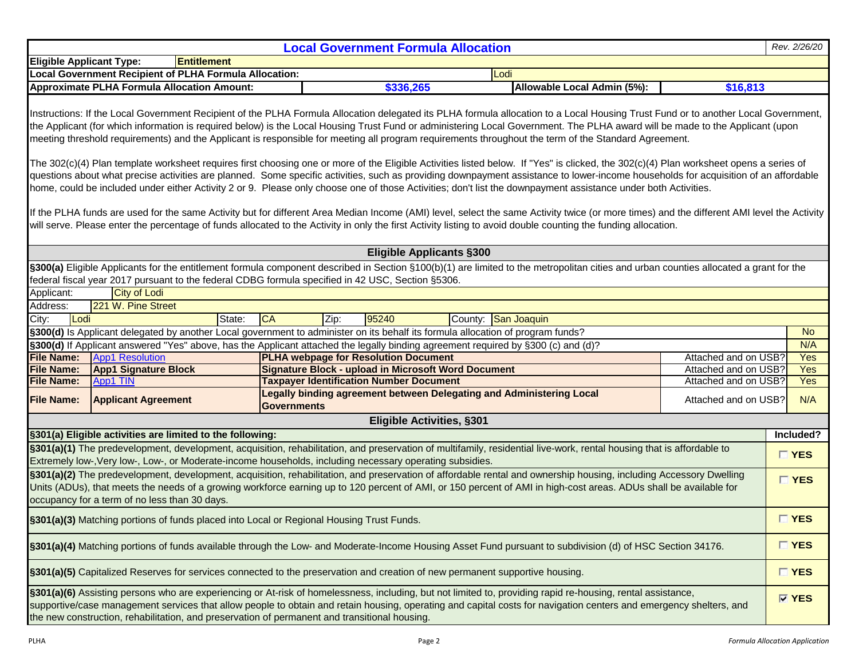| <b>Local Government Formula Allocation</b>                                                                                                                                                                                                                                                                                                                                               |                                                                                                                                                                                                                                                                                                                                                                                                                                    |                                                                                                                                                                                                                                                                                                                                                                                                                                                                                                                                                 |        |                    |      |                                                            |  |                                                                      |                             | Rev. 2/26/20         |             |  |
|------------------------------------------------------------------------------------------------------------------------------------------------------------------------------------------------------------------------------------------------------------------------------------------------------------------------------------------------------------------------------------------|------------------------------------------------------------------------------------------------------------------------------------------------------------------------------------------------------------------------------------------------------------------------------------------------------------------------------------------------------------------------------------------------------------------------------------|-------------------------------------------------------------------------------------------------------------------------------------------------------------------------------------------------------------------------------------------------------------------------------------------------------------------------------------------------------------------------------------------------------------------------------------------------------------------------------------------------------------------------------------------------|--------|--------------------|------|------------------------------------------------------------|--|----------------------------------------------------------------------|-----------------------------|----------------------|-------------|--|
| <b>Entitlement</b><br><b>Eligible Applicant Type:</b>                                                                                                                                                                                                                                                                                                                                    |                                                                                                                                                                                                                                                                                                                                                                                                                                    |                                                                                                                                                                                                                                                                                                                                                                                                                                                                                                                                                 |        |                    |      |                                                            |  |                                                                      |                             |                      |             |  |
| <b>Local Government Recipient of PLHA Formula Allocation:</b><br>Lodi                                                                                                                                                                                                                                                                                                                    |                                                                                                                                                                                                                                                                                                                                                                                                                                    |                                                                                                                                                                                                                                                                                                                                                                                                                                                                                                                                                 |        |                    |      |                                                            |  |                                                                      |                             |                      |             |  |
|                                                                                                                                                                                                                                                                                                                                                                                          |                                                                                                                                                                                                                                                                                                                                                                                                                                    | <b>Approximate PLHA Formula Allocation Amount:</b>                                                                                                                                                                                                                                                                                                                                                                                                                                                                                              |        |                    |      | \$336,265                                                  |  |                                                                      | Allowable Local Admin (5%): | \$16,813             |             |  |
|                                                                                                                                                                                                                                                                                                                                                                                          |                                                                                                                                                                                                                                                                                                                                                                                                                                    | Instructions: If the Local Government Recipient of the PLHA Formula Allocation delegated its PLHA formula allocation to a Local Housing Trust Fund or to another Local Government,<br>the Applicant (for which information is required below) is the Local Housing Trust Fund or administering Local Government. The PLHA award will be made to the Applicant (upon<br>meeting threshold requirements) and the Applicant is responsible for meeting all program requirements throughout the term of the Standard Agreement.                     |        |                    |      |                                                            |  |                                                                      |                             |                      |             |  |
|                                                                                                                                                                                                                                                                                                                                                                                          |                                                                                                                                                                                                                                                                                                                                                                                                                                    | The 302(c)(4) Plan template worksheet requires first choosing one or more of the Eligible Activities listed below. If "Yes" is clicked, the 302(c)(4) Plan worksheet opens a series of<br>questions about what precise activities are planned. Some specific activities, such as providing downpayment assistance to lower-income households for acquisition of an affordable<br>home, could be included under either Activity 2 or 9. Please only choose one of those Activities; don't list the downpayment assistance under both Activities. |        |                    |      |                                                            |  |                                                                      |                             |                      |             |  |
|                                                                                                                                                                                                                                                                                                                                                                                          |                                                                                                                                                                                                                                                                                                                                                                                                                                    | If the PLHA funds are used for the same Activity but for different Area Median Income (AMI) level, select the same Activity twice (or more times) and the different AMI level the Activity<br>will serve. Please enter the percentage of funds allocated to the Activity in only the first Activity listing to avoid double counting the funding allocation.                                                                                                                                                                                    |        |                    |      |                                                            |  |                                                                      |                             |                      |             |  |
|                                                                                                                                                                                                                                                                                                                                                                                          |                                                                                                                                                                                                                                                                                                                                                                                                                                    |                                                                                                                                                                                                                                                                                                                                                                                                                                                                                                                                                 |        |                    |      | <b>Eligible Applicants §300</b>                            |  |                                                                      |                             |                      |             |  |
|                                                                                                                                                                                                                                                                                                                                                                                          |                                                                                                                                                                                                                                                                                                                                                                                                                                    | §300(a) Eligible Applicants for the entitlement formula component described in Section §100(b)(1) are limited to the metropolitan cities and urban counties allocated a grant for the<br>federal fiscal year 2017 pursuant to the federal CDBG formula specified in 42 USC, Section §5306.                                                                                                                                                                                                                                                      |        |                    |      |                                                            |  |                                                                      |                             |                      |             |  |
| Applicant:                                                                                                                                                                                                                                                                                                                                                                               |                                                                                                                                                                                                                                                                                                                                                                                                                                    | <b>City of Lodi</b>                                                                                                                                                                                                                                                                                                                                                                                                                                                                                                                             |        |                    |      |                                                            |  |                                                                      |                             |                      |             |  |
| Address:                                                                                                                                                                                                                                                                                                                                                                                 |                                                                                                                                                                                                                                                                                                                                                                                                                                    | 221 W. Pine Street                                                                                                                                                                                                                                                                                                                                                                                                                                                                                                                              |        |                    |      |                                                            |  |                                                                      |                             |                      |             |  |
| City:                                                                                                                                                                                                                                                                                                                                                                                    | Lodi                                                                                                                                                                                                                                                                                                                                                                                                                               |                                                                                                                                                                                                                                                                                                                                                                                                                                                                                                                                                 | State: | <b>CA</b>          | Zip: | 95240                                                      |  | County: San Joaquin                                                  |                             |                      |             |  |
|                                                                                                                                                                                                                                                                                                                                                                                          |                                                                                                                                                                                                                                                                                                                                                                                                                                    | §300(d) Is Applicant delegated by another Local government to administer on its behalf its formula allocation of program funds?                                                                                                                                                                                                                                                                                                                                                                                                                 |        |                    |      |                                                            |  |                                                                      |                             |                      | <b>No</b>   |  |
|                                                                                                                                                                                                                                                                                                                                                                                          |                                                                                                                                                                                                                                                                                                                                                                                                                                    | §300(d) If Applicant answered "Yes" above, has the Applicant attached the legally binding agreement required by §300 (c) and (d)?                                                                                                                                                                                                                                                                                                                                                                                                               |        |                    |      |                                                            |  |                                                                      |                             |                      | N/A         |  |
| <b>File Name:</b>                                                                                                                                                                                                                                                                                                                                                                        |                                                                                                                                                                                                                                                                                                                                                                                                                                    | <b>App1 Resolution</b>                                                                                                                                                                                                                                                                                                                                                                                                                                                                                                                          |        |                    |      | <b>PLHA webpage for Resolution Document</b>                |  |                                                                      |                             | Attached and on USB? | Yes         |  |
| <b>File Name:</b>                                                                                                                                                                                                                                                                                                                                                                        |                                                                                                                                                                                                                                                                                                                                                                                                                                    | <b>App1 Signature Block</b>                                                                                                                                                                                                                                                                                                                                                                                                                                                                                                                     |        |                    |      | <b>Signature Block - upload in Microsoft Word Document</b> |  |                                                                      |                             | Attached and on USB? | <b>Yes</b>  |  |
| <b>File Name:</b>                                                                                                                                                                                                                                                                                                                                                                        |                                                                                                                                                                                                                                                                                                                                                                                                                                    | <b>App1 TIN</b>                                                                                                                                                                                                                                                                                                                                                                                                                                                                                                                                 |        |                    |      | <b>Taxpayer Identification Number Document</b>             |  |                                                                      |                             | Attached and on USB? | Yes         |  |
| <b>File Name:</b>                                                                                                                                                                                                                                                                                                                                                                        |                                                                                                                                                                                                                                                                                                                                                                                                                                    | <b>Applicant Agreement</b>                                                                                                                                                                                                                                                                                                                                                                                                                                                                                                                      |        | <b>Governments</b> |      |                                                            |  | Legally binding agreement between Delegating and Administering Local |                             | Attached and on USB? | N/A         |  |
|                                                                                                                                                                                                                                                                                                                                                                                          |                                                                                                                                                                                                                                                                                                                                                                                                                                    |                                                                                                                                                                                                                                                                                                                                                                                                                                                                                                                                                 |        |                    |      | <b>Eligible Activities, §301</b>                           |  |                                                                      |                             |                      |             |  |
|                                                                                                                                                                                                                                                                                                                                                                                          |                                                                                                                                                                                                                                                                                                                                                                                                                                    | §301(a) Eligible activities are limited to the following:                                                                                                                                                                                                                                                                                                                                                                                                                                                                                       |        |                    |      |                                                            |  |                                                                      |                             |                      | Included?   |  |
| §301(a)(1) The predevelopment, development, acquisition, rehabilitation, and preservation of multifamily, residential live-work, rental housing that is affordable to<br>Extremely low-, Very low-, Low-, or Moderate-income households, including necessary operating subsidies.                                                                                                        |                                                                                                                                                                                                                                                                                                                                                                                                                                    |                                                                                                                                                                                                                                                                                                                                                                                                                                                                                                                                                 |        |                    |      |                                                            |  |                                                                      |                             | <b>TYES</b>          |             |  |
| §301(a)(2) The predevelopment, development, acquisition, rehabilitation, and preservation of affordable rental and ownership housing, including Accessory Dwelling<br>Units (ADUs), that meets the needs of a growing workforce earning up to 120 percent of AMI, or 150 percent of AMI in high-cost areas. ADUs shall be available for<br>occupancy for a term of no less than 30 days. |                                                                                                                                                                                                                                                                                                                                                                                                                                    |                                                                                                                                                                                                                                                                                                                                                                                                                                                                                                                                                 |        |                    |      |                                                            |  |                                                                      |                             | <b>TYES</b>          |             |  |
| §301(a)(3) Matching portions of funds placed into Local or Regional Housing Trust Funds.                                                                                                                                                                                                                                                                                                 |                                                                                                                                                                                                                                                                                                                                                                                                                                    |                                                                                                                                                                                                                                                                                                                                                                                                                                                                                                                                                 |        |                    |      |                                                            |  |                                                                      |                             | <b>TYES</b>          |             |  |
| §301(a)(4) Matching portions of funds available through the Low- and Moderate-Income Housing Asset Fund pursuant to subdivision (d) of HSC Section 34176.                                                                                                                                                                                                                                |                                                                                                                                                                                                                                                                                                                                                                                                                                    |                                                                                                                                                                                                                                                                                                                                                                                                                                                                                                                                                 |        |                    |      |                                                            |  |                                                                      |                             | $\Box$ YES           |             |  |
|                                                                                                                                                                                                                                                                                                                                                                                          | §301(a)(5) Capitalized Reserves for services connected to the preservation and creation of new permanent supportive housing.                                                                                                                                                                                                                                                                                                       |                                                                                                                                                                                                                                                                                                                                                                                                                                                                                                                                                 |        |                    |      |                                                            |  |                                                                      |                             |                      | <b>TYES</b> |  |
|                                                                                                                                                                                                                                                                                                                                                                                          | §301(a)(6) Assisting persons who are experiencing or At-risk of homelessness, including, but not limited to, providing rapid re-housing, rental assistance,<br>supportive/case management services that allow people to obtain and retain housing, operating and capital costs for navigation centers and emergency shelters, and<br>the new construction, rehabilitation, and preservation of permanent and transitional housing. |                                                                                                                                                                                                                                                                                                                                                                                                                                                                                                                                                 |        |                    |      |                                                            |  |                                                                      |                             |                      | <b>MYES</b> |  |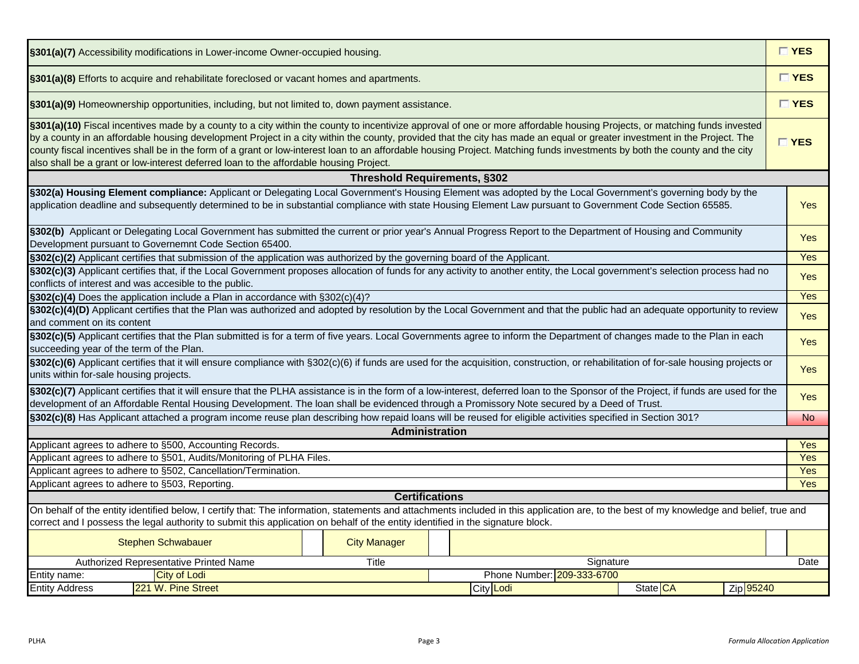| §301(a)(7) Accessibility modifications in Lower-income Owner-occupied housing.                                                                                                                                                                                                                                                                                                                                                                                                                                                                                                                                                |                     |                       |                            |          |           |            |  |  |  |  |  |  |
|-------------------------------------------------------------------------------------------------------------------------------------------------------------------------------------------------------------------------------------------------------------------------------------------------------------------------------------------------------------------------------------------------------------------------------------------------------------------------------------------------------------------------------------------------------------------------------------------------------------------------------|---------------------|-----------------------|----------------------------|----------|-----------|------------|--|--|--|--|--|--|
| §301(a)(8) Efforts to acquire and rehabilitate foreclosed or vacant homes and apartments.                                                                                                                                                                                                                                                                                                                                                                                                                                                                                                                                     |                     |                       |                            |          |           |            |  |  |  |  |  |  |
| $\Gamma$ YES<br>§301(a)(9) Homeownership opportunities, including, but not limited to, down payment assistance.                                                                                                                                                                                                                                                                                                                                                                                                                                                                                                               |                     |                       |                            |          |           |            |  |  |  |  |  |  |
| §301(a)(10) Fiscal incentives made by a county to a city within the county to incentivize approval of one or more affordable housing Projects, or matching funds invested<br>by a county in an affordable housing development Project in a city within the county, provided that the city has made an equal or greater investment in the Project. The<br>county fiscal incentives shall be in the form of a grant or low-interest loan to an affordable housing Project. Matching funds investments by both the county and the city<br>also shall be a grant or low-interest deferred loan to the affordable housing Project. |                     |                       |                            |          |           |            |  |  |  |  |  |  |
| <b>Threshold Requirements, §302</b>                                                                                                                                                                                                                                                                                                                                                                                                                                                                                                                                                                                           |                     |                       |                            |          |           |            |  |  |  |  |  |  |
| §302(a) Housing Element compliance: Applicant or Delegating Local Government's Housing Element was adopted by the Local Government's governing body by the<br>application deadline and subsequently determined to be in substantial compliance with state Housing Element Law pursuant to Government Code Section 65585.                                                                                                                                                                                                                                                                                                      |                     |                       |                            |          |           | <b>Yes</b> |  |  |  |  |  |  |
| §302(b) Applicant or Delegating Local Government has submitted the current or prior year's Annual Progress Report to the Department of Housing and Community<br>Development pursuant to Governemnt Code Section 65400.                                                                                                                                                                                                                                                                                                                                                                                                        |                     |                       |                            |          |           | Yes        |  |  |  |  |  |  |
| §302(c)(2) Applicant certifies that submission of the application was authorized by the governing board of the Applicant.                                                                                                                                                                                                                                                                                                                                                                                                                                                                                                     |                     |                       |                            |          |           | Yes        |  |  |  |  |  |  |
| §302(c)(3) Applicant certifies that, if the Local Government proposes allocation of funds for any activity to another entity, the Local government's selection process had no<br>conflicts of interest and was accesible to the public.                                                                                                                                                                                                                                                                                                                                                                                       |                     |                       |                            |          |           | <b>Yes</b> |  |  |  |  |  |  |
| §302(c)(4) Does the application include a Plan in accordance with §302(c)(4)?                                                                                                                                                                                                                                                                                                                                                                                                                                                                                                                                                 |                     |                       |                            |          |           |            |  |  |  |  |  |  |
| §302(c)(4)(D) Applicant certifies that the Plan was authorized and adopted by resolution by the Local Government and that the public had an adequate opportunity to review<br>and comment on its content                                                                                                                                                                                                                                                                                                                                                                                                                      |                     |                       |                            |          |           | <b>Yes</b> |  |  |  |  |  |  |
| §302(c)(5) Applicant certifies that the Plan submitted is for a term of five years. Local Governments agree to inform the Department of changes made to the Plan in each<br>succeeding year of the term of the Plan.                                                                                                                                                                                                                                                                                                                                                                                                          |                     |                       |                            |          |           | <b>Yes</b> |  |  |  |  |  |  |
| §302(c)(6) Applicant certifies that it will ensure compliance with §302(c)(6) if funds are used for the acquisition, construction, or rehabilitation of for-sale housing projects or<br>units within for-sale housing projects.                                                                                                                                                                                                                                                                                                                                                                                               |                     |                       |                            |          |           | <b>Yes</b> |  |  |  |  |  |  |
| §302(c)(7) Applicant certifies that it will ensure that the PLHA assistance is in the form of a low-interest, deferred loan to the Sponsor of the Project, if funds are used for the<br>development of an Affordable Rental Housing Development. The loan shall be evidenced through a Promissory Note secured by a Deed of Trust.                                                                                                                                                                                                                                                                                            |                     |                       |                            |          |           | <b>Yes</b> |  |  |  |  |  |  |
| §302(c)(8) Has Applicant attached a program income reuse plan describing how repaid loans will be reused for eligible activities specified in Section 301?                                                                                                                                                                                                                                                                                                                                                                                                                                                                    |                     |                       |                            |          |           | <b>No</b>  |  |  |  |  |  |  |
|                                                                                                                                                                                                                                                                                                                                                                                                                                                                                                                                                                                                                               |                     | Administration        |                            |          |           |            |  |  |  |  |  |  |
| Applicant agrees to adhere to §500, Accounting Records.                                                                                                                                                                                                                                                                                                                                                                                                                                                                                                                                                                       |                     |                       |                            |          |           | Yes        |  |  |  |  |  |  |
| Applicant agrees to adhere to §501, Audits/Monitoring of PLHA Files.                                                                                                                                                                                                                                                                                                                                                                                                                                                                                                                                                          |                     |                       |                            |          |           | Yes        |  |  |  |  |  |  |
| Applicant agrees to adhere to §502, Cancellation/Termination.                                                                                                                                                                                                                                                                                                                                                                                                                                                                                                                                                                 |                     |                       |                            |          |           | Yes        |  |  |  |  |  |  |
| Applicant agrees to adhere to §503, Reporting.                                                                                                                                                                                                                                                                                                                                                                                                                                                                                                                                                                                |                     |                       |                            |          |           | Yes        |  |  |  |  |  |  |
|                                                                                                                                                                                                                                                                                                                                                                                                                                                                                                                                                                                                                               |                     | <b>Certifications</b> |                            |          |           |            |  |  |  |  |  |  |
| On behalf of the entity identified below, I certify that: The information, statements and attachments included in this application are, to the best of my knowledge and belief, true and<br>correct and I possess the legal authority to submit this application on behalf of the entity identified in the signature block.                                                                                                                                                                                                                                                                                                   |                     |                       |                            |          |           |            |  |  |  |  |  |  |
| <b>Stephen Schwabauer</b>                                                                                                                                                                                                                                                                                                                                                                                                                                                                                                                                                                                                     | <b>City Manager</b> |                       |                            |          |           |            |  |  |  |  |  |  |
| Authorized Representative Printed Name                                                                                                                                                                                                                                                                                                                                                                                                                                                                                                                                                                                        | Title               |                       | Signature                  |          |           | Date       |  |  |  |  |  |  |
| Entity name:<br><b>City of Lodi</b>                                                                                                                                                                                                                                                                                                                                                                                                                                                                                                                                                                                           |                     |                       | Phone Number: 209-333-6700 |          |           |            |  |  |  |  |  |  |
| 221 W. Pine Street<br><b>Entity Address</b>                                                                                                                                                                                                                                                                                                                                                                                                                                                                                                                                                                                   |                     |                       | City Lodi                  | State CA | Zip 95240 |            |  |  |  |  |  |  |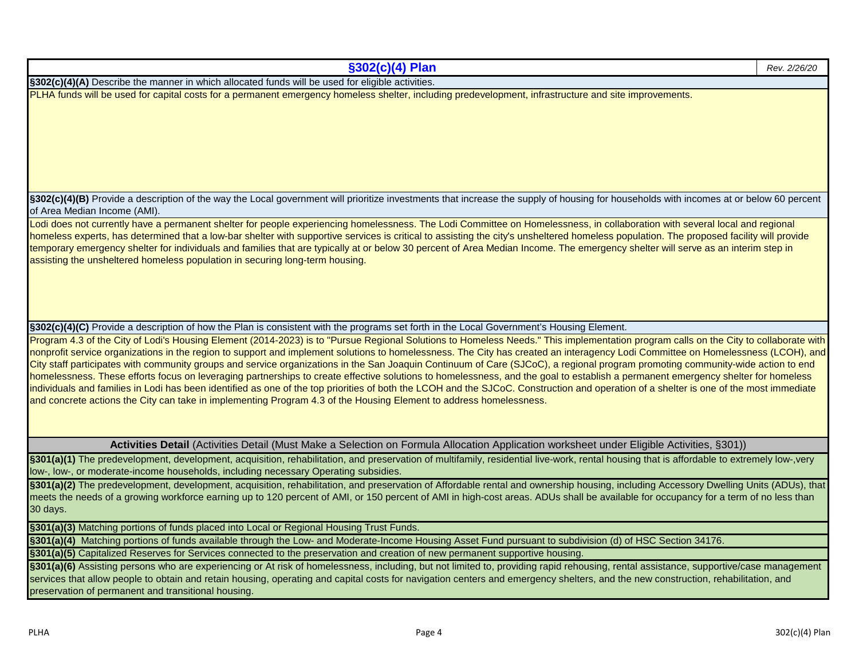| §302(c)(4) Plan                                                                                                                                                                                                                                                                                                                                                                                                                                              | Rev. 2/26/20 |
|--------------------------------------------------------------------------------------------------------------------------------------------------------------------------------------------------------------------------------------------------------------------------------------------------------------------------------------------------------------------------------------------------------------------------------------------------------------|--------------|
| §302(c)(4)(A) Describe the manner in which allocated funds will be used for eligible activities.                                                                                                                                                                                                                                                                                                                                                             |              |
| PLHA funds will be used for capital costs for a permanent emergency homeless shelter, including predevelopment, infrastructure and site improvements.                                                                                                                                                                                                                                                                                                        |              |
|                                                                                                                                                                                                                                                                                                                                                                                                                                                              |              |
|                                                                                                                                                                                                                                                                                                                                                                                                                                                              |              |
|                                                                                                                                                                                                                                                                                                                                                                                                                                                              |              |
| §302(c)(4)(B) Provide a description of the way the Local government will prioritize investments that increase the supply of housing for households with incomes at or below 60 percent<br>of Area Median Income (AMI).                                                                                                                                                                                                                                       |              |
| Lodi does not currently have a permanent shelter for people experiencing homelessness. The Lodi Committee on Homelessness, in collaboration with several local and regional                                                                                                                                                                                                                                                                                  |              |
| homeless experts, has determined that a low-bar shelter with supportive services is critical to assisting the city's unsheltered homeless population. The proposed facility will provide<br>temporary emergency shelter for individuals and families that are typically at or below 30 percent of Area Median Income. The emergency shelter will serve as an interim step in<br>assisting the unsheltered homeless population in securing long-term housing. |              |
|                                                                                                                                                                                                                                                                                                                                                                                                                                                              |              |
|                                                                                                                                                                                                                                                                                                                                                                                                                                                              |              |
| §302(c)(4)(C) Provide a description of how the Plan is consistent with the programs set forth in the Local Government's Housing Element.                                                                                                                                                                                                                                                                                                                     |              |
| Program 4.3 of the City of Lodi's Housing Element (2014-2023) is to "Pursue Regional Solutions to Homeless Needs." This implementation program calls on the City to collaborate with                                                                                                                                                                                                                                                                         |              |
| nonprofit service organizations in the region to support and implement solutions to homelessness. The City has created an interagency Lodi Committee on Homelessness (LCOH), and<br>City staff participates with community groups and service organizations in the San Joaquin Continuum of Care (SJCoC), a regional program promoting community-wide action to end                                                                                          |              |
| homelessness. These efforts focus on leveraging partnerships to create effective solutions to homelessness, and the goal to establish a permanent emergency shelter for homeless                                                                                                                                                                                                                                                                             |              |
| individuals and families in Lodi has been identified as one of the top priorities of both the LCOH and the SJCoC. Construction and operation of a shelter is one of the most immediate                                                                                                                                                                                                                                                                       |              |
| and concrete actions the City can take in implementing Program 4.3 of the Housing Element to address homelessness.                                                                                                                                                                                                                                                                                                                                           |              |
|                                                                                                                                                                                                                                                                                                                                                                                                                                                              |              |
|                                                                                                                                                                                                                                                                                                                                                                                                                                                              |              |
| Activities Detail (Activities Detail (Must Make a Selection on Formula Allocation Application worksheet under Eligible Activities, §301))                                                                                                                                                                                                                                                                                                                    |              |
| §301(a)(1) The predevelopment, development, acquisition, rehabilitation, and preservation of multifamily, residential live-work, rental housing that is affordable to extremely low-, very<br>low-, low-, or moderate-income households, including necessary Operating subsidies.                                                                                                                                                                            |              |
| §301(a)(2) The predevelopment, development, acquisition, rehabilitation, and preservation of Affordable rental and ownership housing, including Accessory Dwelling Units (ADUs), that                                                                                                                                                                                                                                                                        |              |
| meets the needs of a growing workforce earning up to 120 percent of AMI, or 150 percent of AMI in high-cost areas. ADUs shall be available for occupancy for a term of no less than                                                                                                                                                                                                                                                                          |              |
| 30 days.                                                                                                                                                                                                                                                                                                                                                                                                                                                     |              |
| §301(a)(3) Matching portions of funds placed into Local or Regional Housing Trust Funds.                                                                                                                                                                                                                                                                                                                                                                     |              |
| §301(a)(4) Matching portions of funds available through the Low- and Moderate-Income Housing Asset Fund pursuant to subdivision (d) of HSC Section 34176.                                                                                                                                                                                                                                                                                                    |              |
| §301(a)(5) Capitalized Reserves for Services connected to the preservation and creation of new permanent supportive housing.                                                                                                                                                                                                                                                                                                                                 |              |
| §301(a)(6) Assisting persons who are experiencing or At risk of homelessness, including, but not limited to, providing rapid rehousing, rental assistance, supportive/case management                                                                                                                                                                                                                                                                        |              |
| services that allow people to obtain and retain housing, operating and capital costs for navigation centers and emergency shelters, and the new construction, rehabilitation, and                                                                                                                                                                                                                                                                            |              |

preservation of permanent and transitional housing.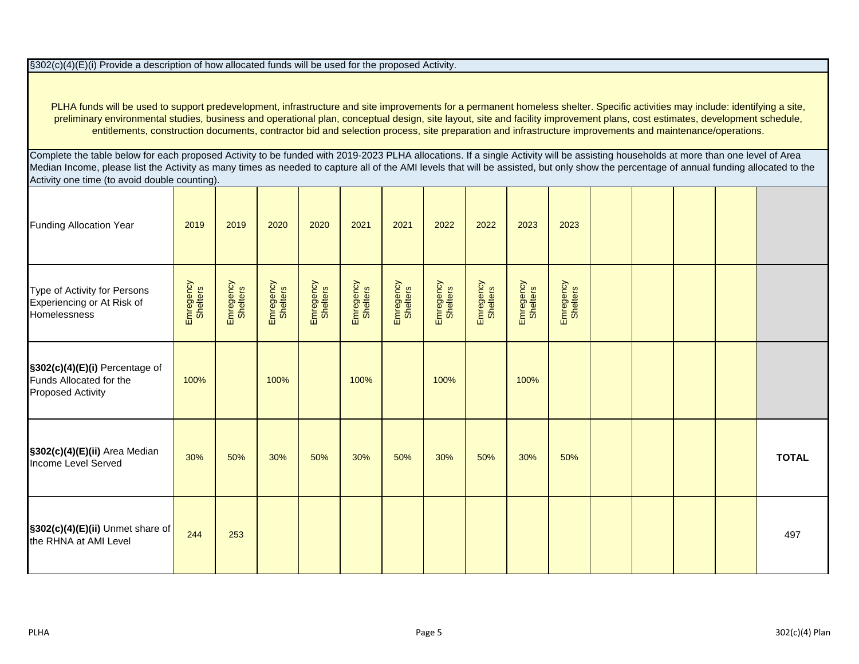§302(c)(4)(E)(i) Provide a description of how allocated funds will be used for the proposed Activity.

PLHA funds will be used to support predevelopment, infrastructure and site improvements for a permanent homeless shelter. Specific activities may include: identifying a site, preliminary environmental studies, business and operational plan, conceptual design, site layout, site and facility improvement plans, cost estimates, development schedule, entitlements, construction documents, contractor bid and selection process, site preparation and infrastructure improvements and maintenance/operations.

Complete the table below for each proposed Activity to be funded with 2019-2023 PLHA allocations. If a single Activity will be assisting households at more than one level of Area Median Income, please list the Activity as many times as needed to capture all of the AMI levels that will be assisted, but only show the percentage of annual funding allocated to the Activity one time (to avoid double counting).

| <b>Funding Allocation Year</b>                                                        | 2019                  | 2019                  | 2020                  | 2020                  | 2021                  | 2021                  | 2022                  | 2022                  | 2023                  | 2023                  |  |  |              |
|---------------------------------------------------------------------------------------|-----------------------|-----------------------|-----------------------|-----------------------|-----------------------|-----------------------|-----------------------|-----------------------|-----------------------|-----------------------|--|--|--------------|
| Type of Activity for Persons<br>Experiencing or At Risk of<br>Homelessness            | Emregency<br>Shelters | Emregency<br>Shelters | Emregency<br>Shelters | Emregency<br>Shelters | Emregency<br>Shelters | Emregency<br>Shelters | Emregency<br>Shelters | Emregency<br>Shelters | Emregency<br>Shelters | Emregency<br>Shelters |  |  |              |
| §302(c)(4)(E)(i) Percentage of<br>Funds Allocated for the<br><b>Proposed Activity</b> | 100%                  |                       | 100%                  |                       | 100%                  |                       | 100%                  |                       | 100%                  |                       |  |  |              |
| §302(c)(4)(E)(ii) Area Median<br>Income Level Served                                  | 30%                   | 50%                   | 30%                   | 50%                   | 30%                   | 50%                   | 30%                   | 50%                   | 30%                   | 50%                   |  |  | <b>TOTAL</b> |
| $\sqrt{\frac{2}{3302(c)(4)(E)(ii)}}$ Unmet share of<br>the RHNA at AMI Level          | 244                   | 253                   |                       |                       |                       |                       |                       |                       |                       |                       |  |  | 497          |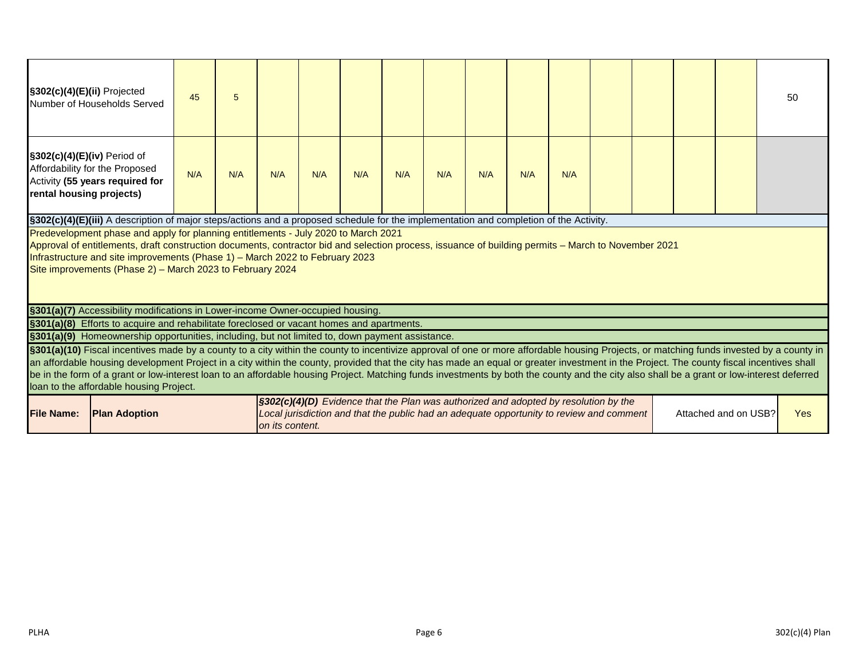| §302(c)(4)(E)(ii) Projected                                                                                                                                                                                                                                                                                                                                                                                                                                                                                                                                                                                                   | Number of Households Served                                                                                                                                                                                                               | 45  | 5   |                 |     |     |     |     |     |     |     |                                                                                                                                                                                  |  |                      | 50         |
|-------------------------------------------------------------------------------------------------------------------------------------------------------------------------------------------------------------------------------------------------------------------------------------------------------------------------------------------------------------------------------------------------------------------------------------------------------------------------------------------------------------------------------------------------------------------------------------------------------------------------------|-------------------------------------------------------------------------------------------------------------------------------------------------------------------------------------------------------------------------------------------|-----|-----|-----------------|-----|-----|-----|-----|-----|-----|-----|----------------------------------------------------------------------------------------------------------------------------------------------------------------------------------|--|----------------------|------------|
| §302(c)(4)(E)(iv) Period of<br>rental housing projects)                                                                                                                                                                                                                                                                                                                                                                                                                                                                                                                                                                       | Affordability for the Proposed<br>Activity (55 years required for                                                                                                                                                                         | N/A | N/A | N/A             | N/A | N/A | N/A | N/A | N/A | N/A | N/A |                                                                                                                                                                                  |  |                      |            |
|                                                                                                                                                                                                                                                                                                                                                                                                                                                                                                                                                                                                                               | §302(c)(4)(E)(iii) A description of major steps/actions and a proposed schedule for the implementation and completion of the Activity.                                                                                                    |     |     |                 |     |     |     |     |     |     |     |                                                                                                                                                                                  |  |                      |            |
|                                                                                                                                                                                                                                                                                                                                                                                                                                                                                                                                                                                                                               | Predevelopment phase and apply for planning entitlements - July 2020 to March 2021<br>Approval of entitlements, draft construction documents, contractor bid and selection process, issuance of building permits - March to November 2021 |     |     |                 |     |     |     |     |     |     |     |                                                                                                                                                                                  |  |                      |            |
|                                                                                                                                                                                                                                                                                                                                                                                                                                                                                                                                                                                                                               | Infrastructure and site improvements (Phase 1) - March 2022 to February 2023                                                                                                                                                              |     |     |                 |     |     |     |     |     |     |     |                                                                                                                                                                                  |  |                      |            |
|                                                                                                                                                                                                                                                                                                                                                                                                                                                                                                                                                                                                                               | Site improvements (Phase 2) – March 2023 to February 2024                                                                                                                                                                                 |     |     |                 |     |     |     |     |     |     |     |                                                                                                                                                                                  |  |                      |            |
|                                                                                                                                                                                                                                                                                                                                                                                                                                                                                                                                                                                                                               |                                                                                                                                                                                                                                           |     |     |                 |     |     |     |     |     |     |     |                                                                                                                                                                                  |  |                      |            |
|                                                                                                                                                                                                                                                                                                                                                                                                                                                                                                                                                                                                                               | §301(a)(7) Accessibility modifications in Lower-income Owner-occupied housing.                                                                                                                                                            |     |     |                 |     |     |     |     |     |     |     |                                                                                                                                                                                  |  |                      |            |
| §301(a)(8) Efforts to acquire and rehabilitate foreclosed or vacant homes and apartments.                                                                                                                                                                                                                                                                                                                                                                                                                                                                                                                                     |                                                                                                                                                                                                                                           |     |     |                 |     |     |     |     |     |     |     |                                                                                                                                                                                  |  |                      |            |
| §301(a)(9) Homeownership opportunities, including, but not limited to, down payment assistance.                                                                                                                                                                                                                                                                                                                                                                                                                                                                                                                               |                                                                                                                                                                                                                                           |     |     |                 |     |     |     |     |     |     |     |                                                                                                                                                                                  |  |                      |            |
| §301(a)(10) Fiscal incentives made by a county to a city within the county to incentivize approval of one or more affordable housing Projects, or matching funds invested by a county in<br>an affordable housing development Project in a city within the county, provided that the city has made an equal or greater investment in the Project. The county fiscal incentives shall<br>be in the form of a grant or low-interest loan to an affordable housing Project. Matching funds investments by both the county and the city also shall be a grant or low-interest deferred<br>loan to the affordable housing Project. |                                                                                                                                                                                                                                           |     |     |                 |     |     |     |     |     |     |     |                                                                                                                                                                                  |  |                      |            |
| <b>File Name:</b>                                                                                                                                                                                                                                                                                                                                                                                                                                                                                                                                                                                                             | <b>Plan Adoption</b>                                                                                                                                                                                                                      |     |     | on its content. |     |     |     |     |     |     |     | §302(c)(4)(D) Evidence that the Plan was authorized and adopted by resolution by the<br>Local jurisdiction and that the public had an adequate opportunity to review and comment |  | Attached and on USB? | <b>Yes</b> |